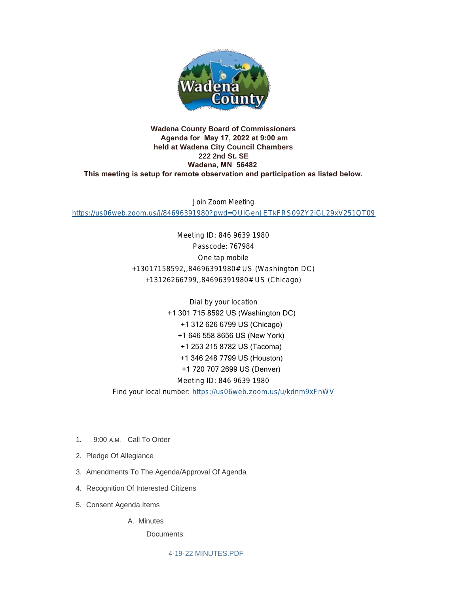

## **Wadena County Board of Commissioners Agenda for May 17, 2022 at 9:00 am held at Wadena City Council Chambers 222 2nd St. SE Wadena, MN 56482 This meeting is setup for remote observation and participation as listed below.**

Join Zoom Meeting <https://us06web.zoom.us/j/84696391980?pwd=QUlGenJETkFRS09ZY2lGL29xV251QT09>

> Meeting ID: 846 9639 1980 Passcode: 767984 One tap mobile +13017158592,,84696391980# US (Washington DC) +13126266799,,84696391980# US (Chicago)

Dial by your location +1 301 715 8592 US (Washington DC) +1 312 626 6799 US (Chicago) +1 646 558 8656 US (New York) +1 253 215 8782 US (Tacoma) +1 346 248 7799 US (Houston) +1 720 707 2699 US (Denver) Meeting ID: 846 9639 1980 Find your local number: <https://us06web.zoom.us/u/kdnm9xFnWV>

- 1. 9:00 A.M. Call To Order
- 2. Pledge Of Allegiance
- 3. Amendments To The Agenda/Approval Of Agenda
- 4. Recognition Of Interested Citizens
- 5. Consent Agenda Items

A. Minutes

Documents:

[4-19-22 MINUTES.PDF](http://mn-wadenacounty.civicplus.com/AgendaCenter/ViewFile/Item/5003?fileID=7295)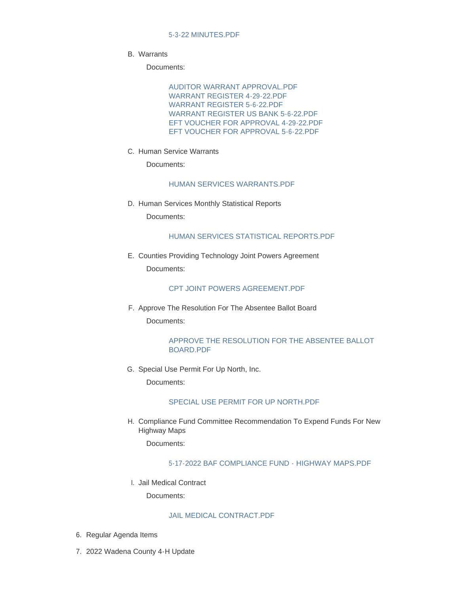Warrants B.

Documents:

[AUDITOR WARRANT APPROVAL.PDF](http://mn-wadenacounty.civicplus.com/AgendaCenter/ViewFile/Item/5004?fileID=7296) [WARRANT REGISTER 4-29-22.PDF](http://mn-wadenacounty.civicplus.com/AgendaCenter/ViewFile/Item/5004?fileID=7297) [WARRANT REGISTER 5-6-22.PDF](http://mn-wadenacounty.civicplus.com/AgendaCenter/ViewFile/Item/5004?fileID=7298) [WARRANT REGISTER US BANK 5-6-22.PDF](http://mn-wadenacounty.civicplus.com/AgendaCenter/ViewFile/Item/5004?fileID=7299) [EFT VOUCHER FOR APPROVAL 4-29-22.PDF](http://mn-wadenacounty.civicplus.com/AgendaCenter/ViewFile/Item/5004?fileID=7300) [EFT VOUCHER FOR APPROVAL 5-6-22.PDF](http://mn-wadenacounty.civicplus.com/AgendaCenter/ViewFile/Item/5004?fileID=7301)

C. Human Service Warrants

Documents:

### [HUMAN SERVICES WARRANTS.PDF](http://mn-wadenacounty.civicplus.com/AgendaCenter/ViewFile/Item/4998?fileID=7287)

D. Human Services Monthly Statistical Reports Documents:

#### [HUMAN SERVICES STATISTICAL REPORTS.PDF](http://mn-wadenacounty.civicplus.com/AgendaCenter/ViewFile/Item/4999?fileID=7288)

E. Counties Providing Technology Joint Powers Agreement Documents:

## [CPT JOINT POWERS AGREEMENT.PDF](http://mn-wadenacounty.civicplus.com/AgendaCenter/ViewFile/Item/4993?fileID=7281)

F. Approve The Resolution For The Absentee Ballot Board Documents:

## [APPROVE THE RESOLUTION FOR THE ABSENTEE BALLOT](http://mn-wadenacounty.civicplus.com/AgendaCenter/ViewFile/Item/4994?fileID=7283)  BOARD.PDF

G. Special Use Permit For Up North, Inc.

Documents:

#### [SPECIAL USE PERMIT FOR UP NORTH.PDF](http://mn-wadenacounty.civicplus.com/AgendaCenter/ViewFile/Item/5005?fileID=7302)

H. Compliance Fund Committee Recommendation To Expend Funds For New Highway Maps

Documents:

## [5-17-2022 BAF COMPLIANCE FUND - HIGHWAY MAPS.PDF](http://mn-wadenacounty.civicplus.com/AgendaCenter/ViewFile/Item/5007?fileID=7303)

I. Jail Medical Contract

Documents:

## [JAIL MEDICAL CONTRACT.PDF](http://mn-wadenacounty.civicplus.com/AgendaCenter/ViewFile/Item/5010?fileID=7306)

- 6. Regular Agenda Items
- 7. 2022 Wadena County 4-H Update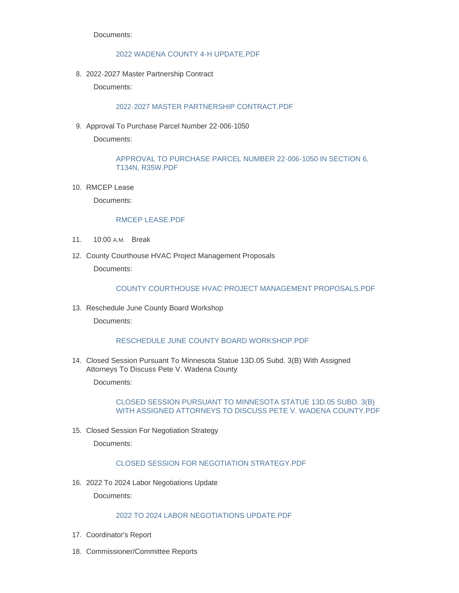Documents:

#### [2022 WADENA COUNTY 4-H UPDATE.PDF](http://mn-wadenacounty.civicplus.com/AgendaCenter/ViewFile/Item/4996?fileID=7285)

2022-2027 Master Partnership Contract 8.

Documents:

#### [2022-2027 MASTER PARTNERSHIP CONTRACT.PDF](http://mn-wadenacounty.civicplus.com/AgendaCenter/ViewFile/Item/4995?fileID=7284)

9. Approval To Purchase Parcel Number 22-006-1050

Documents:

[APPROVAL TO PURCHASE PARCEL NUMBER 22-006-1050 IN SECTION 6,](http://mn-wadenacounty.civicplus.com/AgendaCenter/ViewFile/Item/4997?fileID=7286)  T134N, R35W.PDF

10. RMCEP Lease

Documents:

#### [RMCEP LEASE.PDF](http://mn-wadenacounty.civicplus.com/AgendaCenter/ViewFile/Item/5008?fileID=7304)

- 11. 10:00 A.M. Break
- 12. County Courthouse HVAC Project Management Proposals Documents:

## [COUNTY COURTHOUSE HVAC PROJECT MANAGEMENT PROPOSALS.PDF](http://mn-wadenacounty.civicplus.com/AgendaCenter/ViewFile/Item/5000?fileID=7290)

13. Reschedule June County Board Workshop

Documents:

#### [RESCHEDULE JUNE COUNTY BOARD WORKSHOP.PDF](http://mn-wadenacounty.civicplus.com/AgendaCenter/ViewFile/Item/5002?fileID=7292)

Closed Session Pursuant To Minnesota Statue 13D.05 Subd. 3(B) With Assigned 14. Attorneys To Discuss Pete V. Wadena County

Documents:

[CLOSED SESSION PURSUANT TO MINNESOTA STATUE 13D.05 SUBD. 3\(B\)](http://mn-wadenacounty.civicplus.com/AgendaCenter/ViewFile/Item/5009?fileID=7305)  WITH ASSIGNED ATTORNEYS TO DISCUSS PETE V. WADENA COUNTY.PDF

15. Closed Session For Negotiation Strategy

Documents:

#### CLOSED SESSION FOR NEGOTIATION STRATEGY PDF

2022 To 2024 Labor Negotiations Update 16.

Documents:

# [2022 TO 2024 LABOR NEGOTIATIONS UPDATE.PDF](http://mn-wadenacounty.civicplus.com/AgendaCenter/ViewFile/Item/5001?fileID=7291)

- 17. Coordinator's Report
- 18. Commissioner/Committee Reports